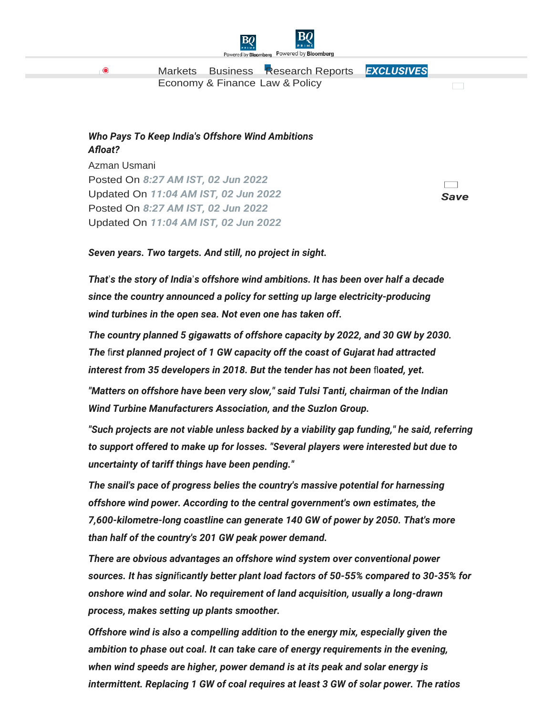

[Markets](https://www.bqprime.com/markets?src=topnav) [Business](https://www.bqprime.com/business?src=topnav) [Research Reports](https://www.bqprime.com/research-reports?src=topnav) *[EXCLUSIVES](https://www.bqprime.com/bq-blue-exclusive?src=topnav)*  [Economy & Finance](https://www.bqprime.com/economy-finance?src=topnav) [Law &](https://www.bqprime.com/law-and-policy?src=topnav) Policy

## *Who Pays To Keep India's Offshore Wind Ambitions Afloat?*

[Azman Usmani](https://www.bqprime.com/author/47288/azman-usmani-3) Posted On *8:27 AM IST, 02 Jun 2022* Updated On *11:04 AM IST, 02 Jun 2022* Posted On *8:27 AM IST, 02 Jun 2022* Updated On *11:04 AM IST, 02 Jun 2022*

**Contract** *Save*

 $\sim$ 

*Seven years. Two targets. And still, no project in sight.*

*That*'*s the story of India*'*s offshore wind ambitions. It has been over half a decade since the country announced a policy for setting up large electricity-producing wind turbines in the open sea. Not even one has taken off.*

*The country planned 5 gigawatts of offshore capacity by 2022, and 30 GW by 2030. The* fi*rst planned project of 1 GW capacity off the coast of Gujarat had attracted interest from 35 developers in 2018. But the tender has not been* fl*oated, yet.*

*"Matters on offshore have been very slow," said Tulsi Tanti, chairman of the Indian Wind Turbine Manufacturers Association, and the Suzlon Group.*

*"Such projects are not viable unless backed by a viability gap funding," he said, referring to support offered to make up for losses. "Several players were interested but due to uncertainty of tariff things have been pending."*

*The snail's pace of progress belies the country's massive potential for harnessing offshore wind power. According to the central government's own estimates, the 7,600-kilometre-long coastline can generate 140 GW of power by 2050. That's more than half of the country's 201 GW peak power demand.*

*There are obvious advantages an offshore wind system over conventional power sources. It has signi*fi*cantly better plant load factors of 50-55% compared to 30-35% for onshore wind and solar. No requirement of land acquisition, usually a long-drawn process, makes setting up plants smoother.*

*Offshore wind is also a compelling addition to the energy mix, especially given the ambition to phase out coal. It can take care of energy requirements in the evening, when wind speeds are higher, power demand is at its peak and solar energy is intermittent. Replacing 1 GW of coal requires at least 3 GW of solar power. The ratios* 

 $\bullet$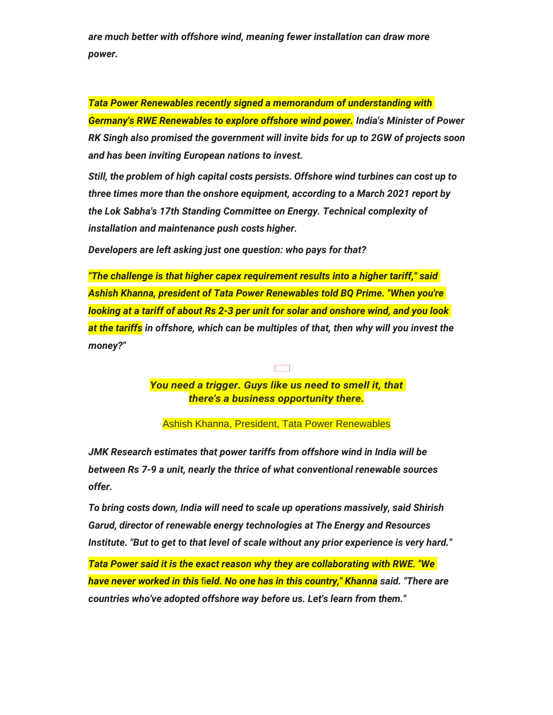*are much better with offshore wind, meaning fewer installation can draw more power.*

*Tata Power Renewables recently signed a memorandum of understanding with Germany's RWE Renewables to explore offshore wind power. India's Minister of Power RK Singh also promised the government will invite bids for up to 2GW of projects soon and has been inviting European nations to invest.*

*Still, the problem of high capital costs persists. Offshore wind turbines can cost up to three times more than the onshore equipment, according to a March 2021 report by the Lok Sabha's 17th Standing Committee on Energy. Technical complexity of installation and maintenance push costs higher.*

*Developers are left asking just one question: who pays for that?*

*"The challenge is that higher capex requirement results into a higher tariff," said Ashish Khanna, president of Tata Power Renewables told BQ Prime. "When you're looking at a tariff of about Rs 2-3 per unit for solar and onshore wind, and you look at the tariffs in offshore, which can be multiples of that, then why will you invest the money?"*

> *You need a trigger. Guys like us need to smell it, that there's a business opportunity there.*

 $\overline{\phantom{a}}$ 

Ashish Khanna, President, Tata Power Renewables

*JMK Research estimates that power tariffs from offshore wind in India will be between Rs 7-9 a unit, nearly the thrice of what conventional renewable sources offer.*

*To bring costs down, India will need to scale up operations massively, said Shirish Garud, director of renewable energy technologies at The Energy and Resources Institute. "But to get to that level of scale without any prior experience is very hard."*

*Tata Power said it is the exact reason why they are collaborating with RWE. "We have never worked in this* fi*eld. No one has in this country," Khanna said. "There are countries who've adopted offshore way before us. Let's learn from them."*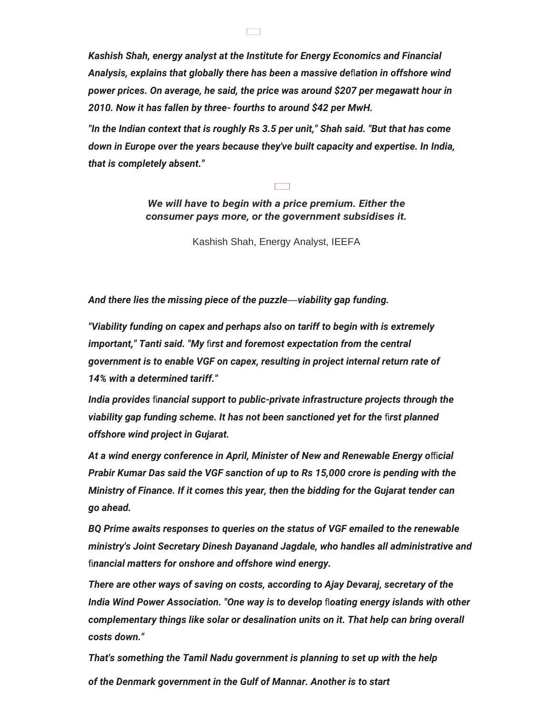*Kashish Shah, energy analyst at the Institute for Energy Economics and Financial Analysis, explains that globally there has been a massive de*fl*ation in offshore wind power prices. On average, he said, the price was around \$207 per megawatt hour in 2010. Now it has fallen by three- fourths to around \$42 per MwH.*

 $\Box$ 

*"In the Indian context that is roughly Rs 3.5 per unit," Shah said. "But that has come down in Europe over the years because they've built capacity and expertise. In India, that is completely absent."*

> *We will have to begin with a price premium. Either the consumer pays more, or the government subsidises it.*

> > Kashish Shah, Energy Analyst, IEEFA

*And there lies the missing piece of the puzzle*—*viability gap funding.*

*"Viability funding on capex and perhaps also on tariff to begin with is extremely important," Tanti said. "My* fi*rst and foremost expectation from the central government is to enable VGF on capex, resulting in project internal return rate of 14% with a determined tariff."*

*India provides* fi*nancial support to public-private infrastructure projects through the viability gap funding scheme. It has not been sanctioned yet for the* fi*rst planned offshore wind project in Gujarat.*

*At a wind energy conference in April, Minister of New and Renewable Energy o*ffi*cial Prabir Kumar Das said the VGF sanction of up to Rs 15,000 crore is pending with the Ministry of Finance. If it comes this year, then the bidding for the Gujarat tender can go ahead.*

*BQ Prime awaits responses to queries on the status of VGF emailed to the renewable ministry's Joint Secretary Dinesh Dayanand Jagdale, who handles all administrative and*  fi*nancial matters for onshore and offshore wind energy.*

*There are other ways of saving on costs, according to Ajay Devaraj, secretary of the India Wind Power Association. "One way is to develop* fl*oating energy islands with other complementary things like solar or desalination units on it. That help can bring overall costs down."*

*That's something the Tamil Nadu government is planning to set up with the help of the Denmark government in the Gulf of Mannar. Another is to start*